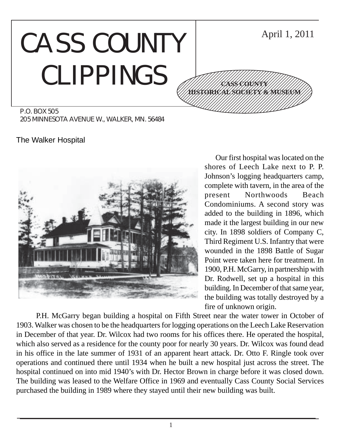# CASS COUNTY CLIPPINGS



P.O. BOX 505 205 MINNESOTA AVENUE W., WALKER, MN. 56484

The Walker Hospital



Our first hospital was located on the shores of Leech Lake next to P. P. Johnson's logging headquarters camp, complete with tavern, in the area of the present Northwoods Beach Condominiums. A second story was added to the building in 1896, which made it the largest building in our new city. In 1898 soldiers of Company C, Third Regiment U.S. Infantry that were wounded in the 1898 Battle of Sugar Point were taken here for treatment. In 1900, P.H. McGarry, in partnership with Dr. Rodwell, set up a hospital in this building. In December of that same year, the building was totally destroyed by a fire of unknown origin.

P.H. McGarry began building a hospital on Fifth Street near the water tower in October of 1903. Walker was chosen to be the headquarters for logging operations on the Leech Lake Reservation in December of that year. Dr. Wilcox had two rooms for his offices there. He operated the hospital, which also served as a residence for the county poor for nearly 30 years. Dr. Wilcox was found dead in his office in the late summer of 1931 of an apparent heart attack. Dr. Otto F. Ringle took over operations and continued there until 1934 when he built a new hospital just across the street. The hospital continued on into mid 1940's with Dr. Hector Brown in charge before it was closed down. The building was leased to the Welfare Office in 1969 and eventually Cass County Social Services purchased the building in 1989 where they stayed until their new building was built.

1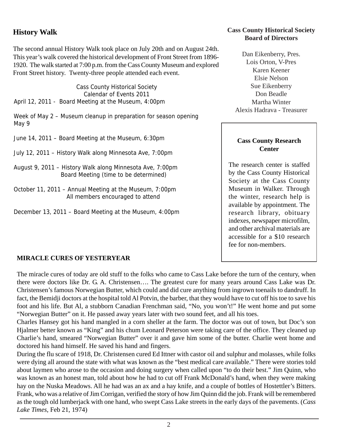# **History Walk**

The second annual History Walk took place on July 20th and on August 24th. This year's walk covered the historical development of Front Street from 1896- 1920. The walk started at 7:00 p.m. from the Cass County Museum and explored Front Street history. Twenty-three people attended each event.

Cass County Historical Society Calendar of Events 2011 April 12, 2011 - Board Meeting at the Museum, 4:00pm

Week of May 2 – Museum cleanup in preparation for season opening May 9

June 14, 2011 – Board Meeting at the Museum, 6:30pm

- July 12, 2011 History Walk along Minnesota Ave, 7:00pm
- August 9, 2011 History Walk along Minnesota Ave, 7:00pm Board Meeting (time to be determined)
- October 11, 2011 Annual Meeting at the Museum, 7:00pm All members encouraged to attend
- December 13, 2011 Board Meeting at the Museum, 4:00pm

## **Cass County Historical Society Board of Directors**

Dan Eikenberry, Pres. Lois Orton, V-Pres Karen Keener Elsie Nelson Sue Eikenberry Don Beadle Martha Winter Alexis Hadrava - Treasurer

#### **Cass County Research Center**

The research center is staffed by the Cass County Historical Society at the Cass County Museum in Walker. Through the winter, research help is available by appointment. The research library, obituary indexes, newspaper microfilm, and other archival materials are accessible for a \$10 research fee for non-members.

## **MIRACLE CURES OF YESTERYEAR**

The miracle cures of today are old stuff to the folks who came to Cass Lake before the turn of the century, when there were doctors like Dr. G. A. Christensen…. The greatest cure for many years around Cass Lake was Dr. Christensen's famous Norwegian Butter, which could and did cure anything from ingrown toenails to dandruff. In fact, the Bemidji doctors at the hospital told Al Potvin, the barber, that they would have to cut off his toe to save his foot and his life. But Al, a stubborn Canadian Frenchman said, "No, you won't!" He went home and put some "Norwegian Butter" on it. He passed away years later with two sound feet, and all his toes.

Charles Hansey got his hand mangled in a corn sheller at the farm. The doctor was out of town, but Doc's son Hjalmer better known as "King" and his chum Leonard Peterson were taking care of the office. They cleaned up Charlie's hand, smeared "Norwegian Butter" over it and gave him some of the butter. Charlie went home and doctored his hand himself. He saved his hand and fingers.

During the flu scare of 1918, Dr. Christensen cured Ed Ittner with castor oil and sulphur and molasses, while folks were dying all around the state with what was known as the "best medical care available." There were stories told about laymen who arose to the occasion and doing surgery when called upon "to do their best." Jim Quinn, who was known as an honest man, told about how he had to cut off Frank McDonald's hand, when they were making hay on the Nuska Meadows. All he had was an ax and a hay knife, and a couple of bottles of Hostettler's Bitters. Frank, who was a relative of Jim Corrigan, verified the story of how Jim Quinn did the job. Frank will be remembered as the tough old lumberjack with one hand, who swept Cass Lake streets in the early days of the pavements. (*Cass Lake Times*, Feb 21, 1974)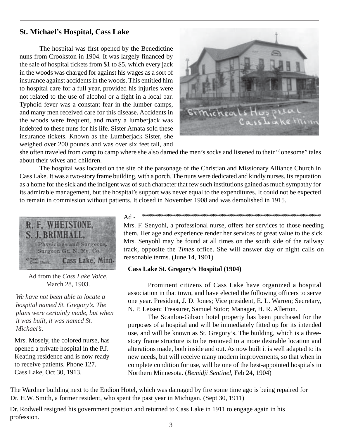# **St. Michael's Hospital, Cass Lake**

The hospital was first opened by the Benedictine nuns from Crookston in 1904. It was largely financed by the sale of hospital tickets from \$1 to \$5, which every jack in the woods was charged for against his wages as a sort of insurance against accidents in the woods. This entitled him to hospital care for a full year, provided his injuries were not related to the use of alcohol or a fight in a local bar. Typhoid fever was a constant fear in the lumber camps, and many men received care for this disease. Accidents in the woods were frequent, and many a lumberjack was indebted to these nuns for his life. Sister Amata sold these insurance tickets. Known as the Lumberjack Sister, she weighed over 200 pounds and was over six feet tall, and



she often traveled from camp to camp where she also darned the men's socks and listened to their "lonesome" tales about their wives and children.

The hospital was located on the site of the parsonage of the Christian and Missionary Alliance Church in Cass Lake. It was a two-story frame building, with a porch. The nuns were dedicated and kindly nurses. Its reputation as a home for the sick and the indigent was of such character that few such institutions gained as much sympathy for its admirable management, but the hospital's support was never equal to the expenditures. It could not be expected to remain in commission without patients. It closed in November 1908 and was demolished in 1915.



Ad from the *Cass Lake Voice*, March 28, 1903.

*We have not been able to locate a hospital named St. Gregory's. The plans were certainly made, but when it was built, it was named St. Michael's.*

Mrs. Mosely, the colored nurse, has opened a private hospital in the P.J. Keating residence and is now ready to receive patients. Phone 127. Cass Lake, Oct 30, 1913.

\*\*\*\*\*\*\*\*\*\*\*\*\*\*\*\*\*\*\*\*\*\*\*\*\*\*\*\*\*\*\*\*\*\*\*\*\*\*\*\*\*\*\*\*\*\*\*\*\*\*\*\*\*\*\*\*\*\*\*\*\*\*\*\*\*\*\*\*\*\*\*\*\*\*\*\*\*\*\* Ad -

Mrs. F. Senyohl, a professional nurse, offers her services to those needing them. Her age and experience render her services of great value to the sick. Mrs. Senyohl may be found at all times on the south side of the railway track, opposite the *Times* office. She will answer day or night calls on reasonable terms. (June 14, 1901)

#### **Cass Lake St. Gregory's Hospital (1904)**

Prominent citizens of Cass Lake have organized a hospital association in that town, and have elected the following officers to serve one year. President, J. D. Jones; Vice president, E. L. Warren; Secretary, N. P. Leisen; Treasurer, Samuel Sutor; Manager, H. R. Allerton.

The Scanlon-Gibson hotel property has been purchased for the purposes of a hospital and will be immediately fitted up for its intended use, and will be known as St. Gregory's. The building, which is a threestory frame structure is to be removed to a more desirable location and alterations made, both inside and out. As now built it is well adapted to its new needs, but will receive many modern improvements, so that when in complete condition for use, will be one of the best-appointed hospitals in Northern Minnesota. (*Bemidji Sentinel*, Feb 24, 1904)

The Wardner building next to the Endion Hotel, which was damaged by fire some time ago is being repaired for Dr. H.W. Smith, a former resident, who spent the past year in Michigan. (Sept 30, 1911)

Dr. Rodwell resigned his government position and returned to Cass Lake in 1911 to engage again in his profession.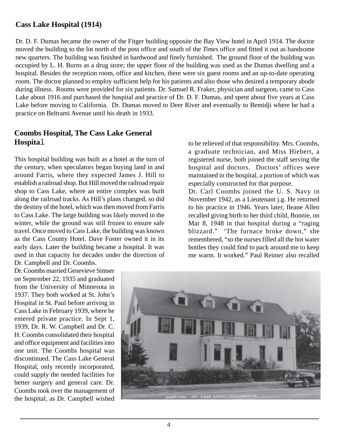## **Cass Lake Hospital (1914)**

Dr. D. F. Dumas became the owner of the Fitger building opposite the Bay View hotel in April 1914. The doctor moved the building to the lot north of the post office and south of the *Times* office and fitted it out as handsome new quarters. The building was finished in hardwood and finely furnished. The ground floor of the building was occupied by L. H. Burns as a drug store; the upper floor of the building was used as the Dumas dwelling and a hospital. Besides the reception room, office and kitchen, there were six guest rooms and an up-to-date operating room. The doctor planned to employ sufficient help for his patients and also those who desired a temporary abode during illness. Rooms were provided for six patients. Dr. Samuel R. Fraker, physician and surgeon, came to Cass Lake about 1916 and purchased the hospital and practice of Dr. D. F. Dumas, and spent about five years at Cass Lake before moving to California. Dr. Dumas moved to Deer River and eventually to Bemidji where he had a practice on Beltrami Avenue until his death in 1933.

## **Coombs Hospital, The Cass Lake General Hospita**l

This hospital building was built as a hotel at the turn of the century, when speculators began buying land in and around Farris, where they expected James J. Hill to establish a railroad shop. But Hill moved the railroad repair shop to Cass Lake, where an entire complex was built along the railroad tracks. As Hill's plans changed, so did the destiny of the hotel, which was then moved from Farris to Cass Lake. The large building was likely moved in the winter, while the ground was still frozen to ensure safe travel. Once moved to Cass Lake, the building was known as the Cass County Hotel. Dave Foster owned it in its early days. Later the building became a hospital. It was used in that capacity for decades under the direction of Dr. Campbell and Dr. Coombs.

Dr. Coombs married Genevieve Simser on September 22, 1935 and graduated from the University of Minnesota in 1937. They both worked at St. John's Hospital in St. Paul before arriving in Cass Lake in February 1939, where he entered private practice. In Sept 1, 1939, Dr. R. W. Campbell and Dr. C. H. Coombs consolidated their hospital and office equipment and facilities into one unit. The Coombs hospital was discontinued. The Cass Lake General Hospital, only recently incorporated, could supply the needed facilities for better surgery and general care. Dr. Coombs took over the management of the hospital, as Dr. Campbell wished to be relieved of that responsibility. Mrs. Coombs, a graduate technician, and Miss Hiebert, a registered nurse, both joined the staff serving the hospital and doctors. Doctors' offices were maintained in the hospital, a portion of which was especially constructed for that purpose.

Dr. Carl Coombs joined the U. S. Navy in November 1942, as a Lieutenant j.g. He returned to his practice in 1946. Years later, Ileane Allen recalled giving birth to her third child, Bonnie, on Mar 8, 1948 in that hospital during a "raging" blizzard." 'The furnace broke down," she remembered, "so the nurses filled all the hot water bottles they could find to pack around me to keep me warm. It worked." Paul Reimer also recalled



4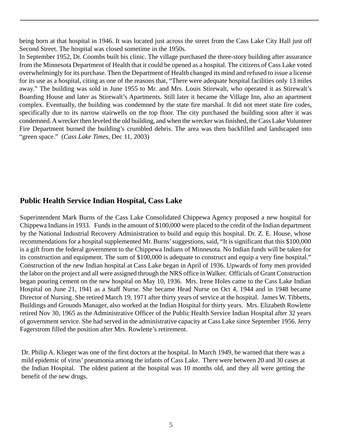being born at that hospital in 1946. It was located just across the street from the Cass Lake City Hall just off Second Street. The hospital was closed sometime in the 1950s.

In September 1952, Dr. Coombs built his clinic. The village purchased the three-story building after assurance from the Minnesota Department of Health that it could be opened as a hospital. The citizens of Cass Lake voted overwhelmingly for its purchase. Then the Department of Health changed its mind and refused to issue a license for its use as a hospital, citing as one of the reasons that, "There were adequate hospital facilities only 13 miles away." The building was sold in June 1955 to Mr. and Mrs. Louis Stirewalt, who operated it as Stirewalt's Boarding House and later as Stirewalt's Apartments. Still later it became the Village Inn, also an apartment complex. Eventually, the building was condemned by the state fire marshal. It did not meet state fire codes, specifically due to its narrow stairwells on the top floor. The city purchased the building soon after it was condemned. A wrecker then leveled the old building, and when the wrecker was finished, the Cass Lake Volunteer Fire Department burned the building's crumbled debris. The area was then backfilled and landscaped into "green space." (*Cass Lake Times,* Dec 11, 2003)

# **Public Health Service Indian Hospital, Cass Lake**

Superintendent Mark Burns of the Cass Lake Consolidated Chippewa Agency proposed a new hospital for Chippewa Indians in 1933. Funds in the amount of \$100,000 were placed to the credit of the Indian department by the National Industrial Recovery Administration to build and equip this hospital. Dr. Z. E. House, whose recommendations for a hospital supplemented Mr. Burns' suggestions, said, "It is significant that this \$100,000 is a gift from the federal government to the Chippewa Indians of Minnesota. No Indian funds will be taken for its construction and equipment. The sum of \$100,000 is adequate to construct and equip a very fine hospital." Construction of the new Indian hospital at Cass Lake began in April of 1936. Upwards of forty men provided the labor on the project and all were assigned through the NRS office in Walker. Officials of Grant Construction began pouring cement on the new hospital on May 10, 1936. Mrs. Irene Holes came to the Cass Lake Indian Hospital on June 21, 1941 as a Staff Nurse. She became Head Nurse on Oct 4, 1944 and in 1948 became Director of Nursing. She retired March 19, 1971 after thirty years of service at the hospital. James W. Tibbetts, Buildings and Grounds Manager, also worked at the Indian Hospital for thirty years. Mrs. Elizabeth Rowlette retired Nov 30, 1965 as the Administrative Officer of the Public Health Service Indian Hospital after 32 years of government service. She had served in the administrative capacity at Cass Lake since September 1956. Jerry Fagerstrom filled the position after Mrs. Rowlette's retirement.

Dr. Philip A. Klieger was one of the first doctors at the hospital. In March 1949, he warned that there was a mild epidemic of virus' pneumonia among the infants of Cass Lake. There were between 20 and 30 cases at the Indian Hospital. The oldest patient at the hospital was 10 months old, and they all were getting the benefit of the new drugs.